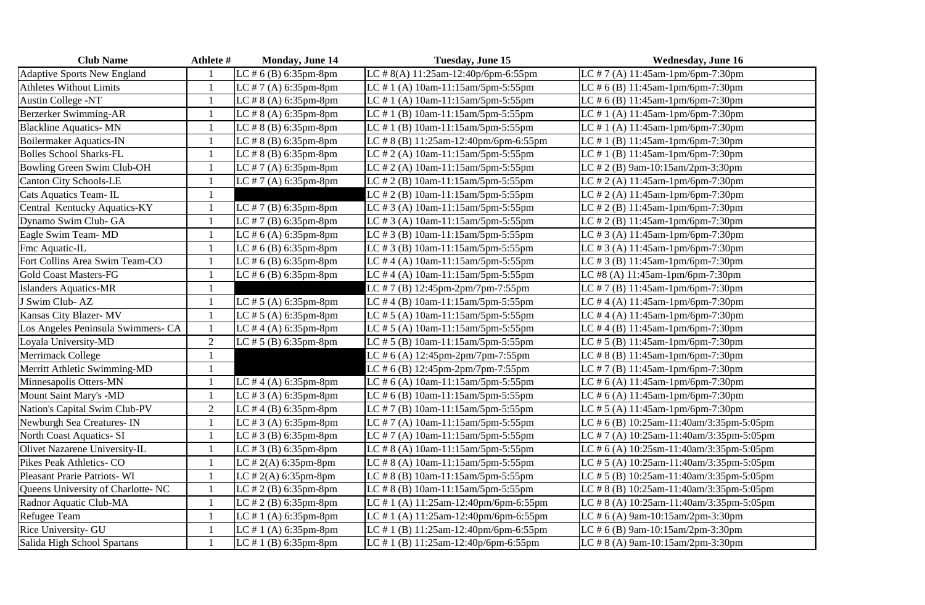| <b>Club Name</b>                   | Athlete #      | <b>Monday, June 14</b>   | Tuesday, June 15                         | <b>Wednesday, June 16</b>                   |
|------------------------------------|----------------|--------------------------|------------------------------------------|---------------------------------------------|
| <b>Adaptive Sports New England</b> |                | LC $# 6$ (B) 6:35pm-8pm  | LC # 8(A) 11:25am-12:40p/6pm-6:55pm      | LC # 7 (A) 11:45am-1pm/6pm-7:30pm           |
| <b>Athletes Without Limits</b>     |                | LC # 7 (A) $6:35$ pm-8pm | LC # 1 (A) 10am-11:15am/5pm-5:55pm       | LC # 6 (B) $11:45$ am-1pm/6pm-7:30pm        |
| <b>Austin College -NT</b>          |                | LC # $8(A)$ 6:35pm-8pm   | LC # 1 (A) $10$ am-11:15am/5pm-5:55pm    | LC # 6 (B) $11:45$ am-1pm/6pm-7:30pm        |
| Berzerker Swimming-AR              |                | LC # $8(A)$ 6:35pm-8pm   | LC # 1 (B) $10am-11:15am/5pm-5:55pm$     | LC # 1 (A) $11:45$ am-1pm/6pm-7:30pm        |
| <b>Blackline Aquatics-MN</b>       |                | LC $# 8$ (B) 6:35pm-8pm  | LC # 1 (B) $10am-11:15am/5pm-5:55pm$     | LC # 1 (A) $11:45$ am-1pm/6pm-7:30pm        |
| <b>Boilermaker Aquatics-IN</b>     |                | LC $# 8$ (B) 6:35pm-8pm  | LC # 8 (B) $11:25$ am-12:40pm/6pm-6:55pm | LC # 1 (B) $11:45$ am-1pm/6pm-7:30pm        |
| <b>Bolles School Sharks-FL</b>     |                | LC $# 8$ (B) 6:35pm-8pm  | LC # 2 (A) $10$ am-11:15am/5pm-5:55pm    | LC # 1 (B) 11:45am-1pm/6pm-7:30pm           |
| Bowling Green Swim Club-OH         |                | LC # 7 (A) 6:35pm-8pm    | LC # 2 (A) $10$ am-11:15am/5pm-5:55pm    | LC # 2 (B) 9am-10:15am/2pm-3:30pm           |
| <b>Canton City Schools-LE</b>      |                | LC # 7 (A) $6:35$ pm-8pm | LC # 2 (B) $10am-11:15am/5pm-5:55pm$     | LC # 2 (A) $11:45$ am-1pm/6pm-7:30pm        |
| Cats Aquatics Team-IL              |                |                          | LC # 2 (B) $10am-11:15am/5pm-5:55pm$     | LC # 2 (A) $11:45$ am-1pm/6pm-7:30pm        |
| Central Kentucky Aquatics-KY       |                | LC $# 7$ (B) 6:35pm-8pm  | LC # 3 (A) $10$ am-11:15am/5pm-5:55pm    | LC # 2 (B) 11:45am-1pm/6pm-7:30pm           |
| Dynamo Swim Club- GA               |                | LC $# 7 (B) 6:35pm-8pm$  | LC # 3 (A) $10$ am-11:15am/5pm-5:55pm    | LC # 2 (B) $11:45$ am-1pm/6pm-7:30pm        |
| Eagle Swim Team-MD                 |                | LC # 6 (A) $6:35$ pm-8pm | LC # 3 (B) $10am-11:15am/5pm-5:55pm$     | LC # 3 (A) $11:45$ am-1pm/6pm-7:30pm        |
| Fmc Aquatic-IL                     |                | LC # 6 (B) 6:35pm-8pm    | LC # 3 (B) 10am-11:15am/5pm-5:55pm       | LC # 3 (A) $11:45$ am-1pm/6pm-7:30pm        |
| Fort Collins Area Swim Team-CO     |                | LC # $6$ (B) 6:35pm-8pm  | LC # 4 (A) $10am-11:15am/5pm-5:55pm$     | LC # 3 (B) 11:45am-1pm/6pm-7:30pm           |
| <b>Gold Coast Masters-FG</b>       |                | LC $# 6$ (B) 6:35pm-8pm  | LC # 4 (A) $10$ am-11:15am/5pm-5:55pm    | LC #8 (A) $11:45$ am-1pm/6pm-7:30pm         |
| <b>Islanders Aquatics-MR</b>       |                |                          | LC # 7 (B) $12:45$ pm-2pm/7pm-7:55pm     | LC # 7 (B) $11:45$ am-1pm/6pm-7:30pm        |
| J Swim Club-AZ                     |                | LC # $5(A)$ 6:35pm-8pm   | LC # 4 (B) $10am-11:15am/5pm-5:55pm$     | LC # 4 (A) $11:45$ am-1pm/6pm-7:30pm        |
| Kansas City Blazer-MV              |                | LC # $5(A)$ 6:35pm-8pm   | LC # 5 (A) $10$ am-11:15am/5pm-5:55pm    | LC # 4 (A) $11:45$ am-1pm/6pm-7:30pm        |
| Los Angeles Peninsula Swimmers- CA |                | LC # 4 (A) 6:35pm-8pm    | LC # $5(A) 10am-11:15am/5pm-5:55pm$      | LC # 4 (B) $11:45$ am-1pm/6pm-7:30pm        |
| Loyala University-MD               | $\overline{2}$ | LC # $5$ (B) 6:35pm-8pm  | LC # $5$ (B) 10am-11:15am/5pm-5:55pm     | LC # 5 (B) $11:45$ am-1pm/6pm-7:30pm        |
| Merrimack College                  |                |                          | LC # 6 (A) $12:45$ pm-2pm/7pm-7:55pm     | LC # 8 (B) $11:45$ am-1pm/6pm-7:30pm        |
| Merritt Athletic Swimming-MD       |                |                          | LC # 6 (B) $12:45$ pm-2pm/7pm-7:55pm     | LC # 7 (B) $11:45$ am-1pm/6pm-7:30pm        |
| Minnesapolis Otters-MN             |                | LC # 4 (A) 6:35pm-8pm    | LC # 6 (A) $10$ am-11:15am/5pm-5:55pm    | LC # 6 (A) $11:45$ am-1pm/6pm-7:30pm        |
| Mount Saint Mary's -MD             |                | LC # 3 (A) $6:35$ pm-8pm | LC # 6 (B) 10am-11:15am/5pm-5:55pm       | LC # 6 (A) $11:45$ am-1pm/6pm-7:30pm        |
| Nation's Capital Swim Club-PV      | $\overline{2}$ | LC # 4 (B) 6:35pm-8pm    | LC # 7 (B) 10am-11:15am/5pm-5:55pm       | LC # 5 (A) $11:45$ am-1pm/6pm-7:30pm        |
| Newburgh Sea Creatures- IN         |                | LC # 3 (A) $6:35$ pm-8pm | LC # 7 (A) $10$ am-11:15am/5pm-5:55pm    | LC # 6 (B) 10:25am-11:40am/3:35pm-5:05pm    |
| North Coast Aquatics- SI           |                | LC # 3 (B) 6:35pm-8pm    | LC # 7 (A) $10am-11:15am/5pm-5:55pm$     | LC # 7 (A) $10:25$ am-11:40am/3:35pm-5:05pm |
| Olivet Nazarene University-IL      |                | LC # 3 (B) 6:35pm-8pm    | LC # 8 (A) $10$ am-11:15am/5pm-5:55pm    | LC # 6 (A) $10:25$ sm-11:40am/3:35pm-5:05pm |
| Pikes Peak Athletics-CO            |                | LC $# 2(A) 6:35pm-8pm$   | LC # 8 (A) $10$ am-11:15am/5pm-5:55pm    | LC # 5 (A) 10:25am-11:40am/3:35pm-5:05pm    |
| Pleasant Prarie Patriots-WI        |                | LC # 2(A) $6:35$ pm-8pm  | LC # 8 (B) 10am-11:15am/5pm-5:55pm       | LC # 5 (B) 10:25am-11:40am/3:35pm-5:05pm    |
| Queens University of Charlotte-NC  |                | LC # 2 (B) $6:35$ pm-8pm | LC # 8 (B) 10am-11:15am/5pm-5:55pm       | LC # 8 (B) $10:25$ am-11:40am/3:35pm-5:05pm |
| Radnor Aquatic Club-MA             |                | LC $# 2 (B) 6:35pm-8pm$  | LC # 1 (A) $11:25$ am-12:40pm/6pm-6:55pm | LC # 8 (A) $10:25$ am-11:40am/3:35pm-5:05pm |
| Refugee Team                       |                | LC # 1 (A) $6:35$ pm-8pm | LC # 1 (A) $11:25$ am-12:40pm/6pm-6:55pm | LC # 6 (A) 9am-10:15am/2pm-3:30pm           |
| Rice University- GU                |                | LC # 1 (A) $6:35$ pm-8pm | LC # 1 (B) $11:25$ am-12:40pm/6pm-6:55pm | LC # 6 (B) 9am-10:15am/2pm-3:30pm           |
| Salida High School Spartans        |                | LC # 1 (B) $6:35$ pm-8pm | LC # 1 (B) $11:25$ am-12:40p/6pm-6:55pm  | LC # 8 (A) 9am-10:15am/2pm-3:30pm           |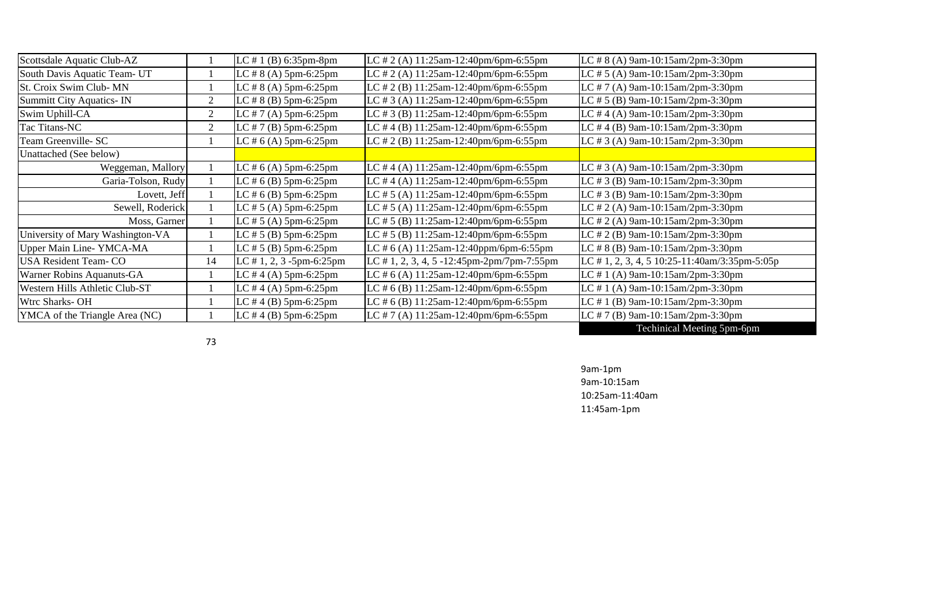| Scottsdale Aquatic Club-AZ       |                | LC # 1 (B) $6:35$ pm-8pm    | LC # 2 (A) $11:25$ am-12:40pm/6pm-6:55pm   | LC # 8 (A) 9am-10:15am/2pm-3:30pm             |
|----------------------------------|----------------|-----------------------------|--------------------------------------------|-----------------------------------------------|
| South Davis Aquatic Team- UT     |                | LC # $8(A)$ 5pm-6:25pm      | LC # 2 (A) $11:25$ am-12:40pm/6pm-6:55pm   | LC # 5 (A) 9am-10:15am/2pm-3:30pm             |
| St. Croix Swim Club-MN           |                | LC # 8 (A) 5pm-6:25pm       | LC # 2 (B) $11:25$ am-12:40pm/6pm-6:55pm   | LC # 7 (A) 9am-10:15am/2pm-3:30pm             |
| <b>Summitt City Aquatics-IN</b>  | $\overline{2}$ | LC $# 8$ (B) 5pm-6:25pm     | LC # 3 (A) $11:25$ am-12:40pm/6pm-6:55pm   | LC # 5 (B) 9am-10:15am/2pm-3:30pm             |
| Swim Uphill-CA                   | $\overline{2}$ | LC # 7 (A) 5pm-6:25pm       | LC # 3 (B) $11:25$ am-12:40pm/6pm-6:55pm   | LC # 4 (A) 9am-10:15am/2pm-3:30pm             |
| Tac Titans-NC                    | $\overline{2}$ | LC # 7 (B) 5pm-6:25pm       | LC # 4 (B) $11:25$ am-12:40pm/6pm-6:55pm   | LC # 4 (B) 9am-10:15am/2pm-3:30pm             |
| Team Greenville- SC              |                | LC # $6(A)$ 5pm-6:25pm      | LC # 2 (B) $11:25$ am-12:40pm/6pm-6:55pm   | LC # 3 (A) 9am-10:15am/2pm-3:30pm             |
| Unattached (See below)           |                |                             |                                            |                                               |
| Weggeman, Mallory                |                | LC # $6(A)$ 5pm-6:25pm      | LC # 4 (A) $11:25$ am-12:40pm/6pm-6:55pm   | LC # 3 (A) 9am-10:15am/2pm-3:30pm             |
| Garia-Tolson, Rudy               |                | LC # $6$ (B) 5pm-6:25pm     | LC # 4 (A) $11:25$ am-12:40pm/6pm-6:55pm   | LC # 3 (B) 9am-10:15am/2pm-3:30pm             |
| Lovett, Jeff                     |                | LC $# 6$ (B) 5pm-6:25pm     | LC # 5 (A) $11:25$ am-12:40pm/6pm-6:55pm   | LC # 3 (B) 9am-10:15am/2pm-3:30pm             |
| Sewell, Roderick                 |                | LC # $5(A)$ 5pm-6:25pm      | LC # 5 (A) $11:25$ am-12:40pm/6pm-6:55pm   | LC # 2 (A) 9am-10:15am/2pm-3:30pm             |
| Moss, Garner                     |                | LC # $5(A)$ 5pm-6:25pm      | LC # 5 (B) $11:25$ am-12:40pm/6pm-6:55pm   | LC # 2 (A) 9am-10:15am/2pm-3:30pm             |
| University of Mary Washington-VA |                | LC $# 5$ (B) 5pm-6:25pm     | LC # 5 (B) $11:25$ am-12:40pm/6pm-6:55pm   | LC # 2 (B) 9am-10:15am/2pm-3:30pm             |
| <b>Upper Main Line- YMCA-MA</b>  |                | LC $# 5$ (B) 5pm-6:25pm     | LC # 6 (A) $11:25$ am-12:40ppm/6pm-6:55pm  | LC # 8 (B) 9am-10:15am/2pm-3:30pm             |
| USA Resident Team-CO             | 14             | LC $# 1, 2, 3 -5$ pm-6:25pm | LC # 1, 2, 3, 4, 5 -12:45pm-2pm/7pm-7:55pm | LC # 1, 2, 3, 4, 5 10:25-11:40am/3:35pm-5:05p |
| Warner Robins Aquanuts-GA        |                | LC # 4 (A) $5pm-6:25pm$     | LC # 6 (A) $11:25$ am-12:40pm/6pm-6:55pm   | LC # 1 (A) 9am-10:15am/2pm-3:30pm             |
| Western Hills Athletic Club-ST   |                | LC # 4 (A) $5pm-6:25pm$     | LC # 6 (B) $11:25$ am-12:40pm/6pm-6:55pm   | LC # 1 (A) 9am-10:15am/2pm-3:30pm             |
| Wtrc Sharks-OH                   |                | LC # 4 (B) 5pm-6:25pm       | LC # 6 (B) $11:25$ am-12:40pm/6pm-6:55pm   | LC # 1 (B) 9am-10:15am/2pm-3:30pm             |
| YMCA of the Triangle Area (NC)   |                | LC # 4 (B) 5pm-6:25pm       | LC # 7 (A) $11:25$ am-12:40pm/6pm-6:55pm   | LC # 7 (B) 9am-10:15am/2pm-3:30pm             |
|                                  |                |                             |                                            | Techinical Meeting 5pm-6pm                    |

73

9am-1pm 9am-10:15am 10:25am-11:40am 11:45am-1pm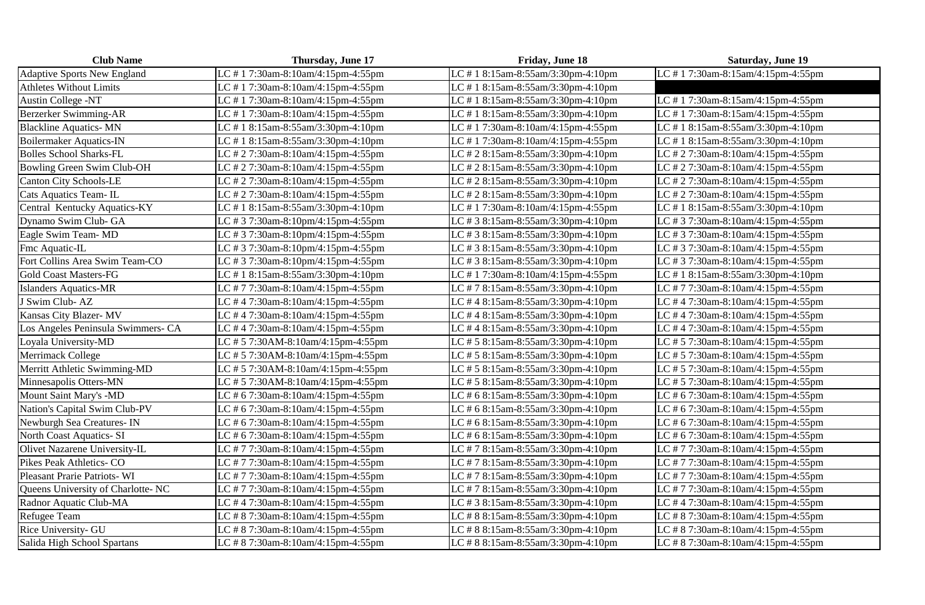| <b>Club Name</b>                   | Thursday, June 17                  | <b>Friday, June 18</b>                | <b>Saturday, June 19</b>             |
|------------------------------------|------------------------------------|---------------------------------------|--------------------------------------|
| <b>Adaptive Sports New England</b> | LC #17:30am-8:10am/4:15pm-4:55pm   | LC #18:15am-8:55am/3:30pm-4:10pm      | LC #17:30am-8:15am/4:15pm-4:55pm     |
| <b>Athletes Without Limits</b>     | LC # 1 7:30am-8:10am/4:15pm-4:55pm | LC #18:15am-8:55am/3:30pm-4:10pm      |                                      |
| <b>Austin College -NT</b>          | LC #17:30am-8:10am/4:15pm-4:55pm   | LC # 1 8:15am-8:55am/3:30pm-4:10pm    | LC #17:30am-8:15am/4:15pm-4:55pm     |
| Berzerker Swimming-AR              | LC #17:30am-8:10am/4:15pm-4:55pm   | LC #18:15am-8:55am/3:30pm-4:10pm      | LC #17:30am-8:15am/4:15pm-4:55pm     |
| <b>Blackline Aquatics-MN</b>       | LC # 1 8:15am-8:55am/3:30pm-4:10pm | LC #17:30am-8:10am/4:15pm-4:55pm      | LC #18:15am-8:55am/3:30pm-4:10pm     |
| <b>Boilermaker Aquatics-IN</b>     | LC #18:15am-8:55am/3:30pm-4:10pm   | LC # 1 7:30am-8:10am/4:15pm-4:55pm    | LC # 1 8:15am-8:55am/3:30pm-4:10pm   |
| <b>Bolles School Sharks-FL</b>     | LC # 2 7:30am-8:10am/4:15pm-4:55pm | LC # 2 8:15am-8:55am/3:30pm-4:10pm    | LC # 2 7:30am-8:10am/4:15pm-4:55pm   |
| Bowling Green Swim Club-OH         | LC # 2 7:30am-8:10am/4:15pm-4:55pm | LC # 2 $8:15$ am-8:55am/3:30pm-4:10pm | LC # 2 7:30am-8:10am/4:15pm-4:55pm   |
| <b>Canton City Schools-LE</b>      | LC # 2 7:30am-8:10am/4:15pm-4:55pm | LC # 2 8:15am-8:55am/3:30pm-4:10pm    | LC # 2 7:30am-8:10am/4:15pm-4:55pm   |
| Cats Aquatics Team-IL              | LC # 2 7:30am-8:10am/4:15pm-4:55pm | LC # 2 8:15am-8:55am/3:30pm-4:10pm    | LC # 2 7:30am-8:10am/4:15pm-4:55pm   |
| Central Kentucky Aquatics-KY       | LC # 1 8:15am-8:55am/3:30pm-4:10pm | LC # 1 7:30am-8:10am/4:15pm-4:55pm    | LC # 1 8:15am-8:55am/3:30pm-4:10pm   |
| Dynamo Swim Club- GA               | LC # 3 7:30am-8:10pm/4:15pm-4:55pm | LC #38:15am-8:55am/3:30pm-4:10pm      | LC # 3 7:30am-8:10am/4:15pm-4:55pm   |
| Eagle Swim Team-MD                 | LC # 3 7:30am-8:10pm/4:15pm-4:55pm | LC # 3 8:15am-8:55am/3:30pm-4:10pm    | LC # 3 7:30am-8:10am/4:15pm-4:55pm   |
| Fmc Aquatic-IL                     | LC # 3 7:30am-8:10pm/4:15pm-4:55pm | LC # 3 8:15am-8:55am/3:30pm-4:10pm    | LC #37:30am-8:10am/4:15pm-4:55pm     |
| Fort Collins Area Swim Team-CO     | LC # 3 7:30am-8:10pm/4:15pm-4:55pm | LC # 3 8:15am-8:55am/3:30pm-4:10pm    | LC # 3 7:30am-8:10am/4:15pm-4:55pm   |
| <b>Gold Coast Masters-FG</b>       | LC # 1 8:15am-8:55am/3:30pm-4:10pm | LC # 1 7:30am-8:10am/4:15pm-4:55pm    | LC # 1 8:15am-8:55am/3:30pm-4:10pm   |
| <b>Islanders Aquatics-MR</b>       | LC # 7 7:30am-8:10am/4:15pm-4:55pm | LC # 7 8:15am-8:55am/3:30pm-4:10pm    | LC # 7 7:30am-8:10am/4:15pm-4:55pm   |
| J Swim Club-AZ                     | LC # 4 7:30am-8:10am/4:15pm-4:55pm | LC #48:15am-8:55am/3:30pm-4:10pm      | LC # 4 7:30am-8:10am/4:15pm-4:55pm   |
| Kansas City Blazer-MV              | LC # 4 7:30am-8:10am/4:15pm-4:55pm | LC #48:15am-8:55am/3:30pm-4:10pm      | LC # 4 7:30am-8:10am/4:15pm-4:55pm   |
| Los Angeles Peninsula Swimmers- CA | LC #47:30am-8:10am/4:15pm-4:55pm   | LC #48:15am-8:55am/3:30pm-4:10pm      | LC # 4 7:30am-8:10am/4:15pm-4:55pm   |
| Loyala University-MD               | LC # 5 7:30AM-8:10am/4:15pm-4:55pm | LC # 5 8:15am-8:55am/3:30pm-4:10pm    | LC # 5 7:30am-8:10am/4:15pm-4:55pm   |
| Merrimack College                  | LC # 5 7:30AM-8:10am/4:15pm-4:55pm | LC # 5 8:15am-8:55am/3:30pm-4:10pm    | LC # 5 7:30am-8:10am/4:15pm-4:55pm   |
| Merritt Athletic Swimming-MD       | LC # 5 7:30AM-8:10am/4:15pm-4:55pm | LC # 5 8:15am-8:55am/3:30pm-4:10pm    | LC # 5 7:30am-8:10am/4:15pm-4:55pm   |
| Minnesapolis Otters-MN             | LC # 5 7:30AM-8:10am/4:15pm-4:55pm | LC # 5 $8:15$ am-8:55am/3:30pm-4:10pm | LC # $57:30$ am-8:10am/4:15pm-4:55pm |
| Mount Saint Mary's -MD             | LC # 6 7:30am-8:10am/4:15pm-4:55pm | LC # 6 8:15am-8:55am/3:30pm-4:10pm    | LC # 6 7:30am-8:10am/4:15pm-4:55pm   |
| Nation's Capital Swim Club-PV      | LC # 6 7:30am-8:10am/4:15pm-4:55pm | LC # 6 8:15am-8:55am/3:30pm-4:10pm    | LC # 6 7:30am-8:10am/4:15pm-4:55pm   |
| Newburgh Sea Creatures- IN         | LC # 6 7:30am-8:10am/4:15pm-4:55pm | LC # 6 8:15am-8:55am/3:30pm-4:10pm    | LC # 6 7:30am-8:10am/4:15pm-4:55pm   |
| North Coast Aquatics- SI           | LC # 6 7:30am-8:10am/4:15pm-4:55pm | LC # 6 8:15am-8:55am/3:30pm-4:10pm    | LC # 6 7:30am-8:10am/4:15pm-4:55pm   |
| Olivet Nazarene University-IL      | LC # 7 7:30am-8:10am/4:15pm-4:55pm | LC # 7 8:15am-8:55am/3:30pm-4:10pm    | LC # 7 7:30am-8:10am/4:15pm-4:55pm   |
| Pikes Peak Athletics-CO            | LC # 7 7:30am-8:10am/4:15pm-4:55pm | LC # 7 8:15am-8:55am/3:30pm-4:10pm    | LC # 7 7:30am-8:10am/4:15pm-4:55pm   |
| Pleasant Prarie Patriots-WI        | LC # 7 7:30am-8:10am/4:15pm-4:55pm | LC # 7 8:15am-8:55am/3:30pm-4:10pm    | LC # 7 7:30am-8:10am/4:15pm-4:55pm   |
| Queens University of Charlotte-NC  | LC # 7 7:30am-8:10am/4:15pm-4:55pm | LC # 7 8:15am-8:55am/3:30pm-4:10pm    | LC # 7 7:30am-8:10am/4:15pm-4:55pm   |
| Radnor Aquatic Club-MA             | LC #47:30am-8:10am/4:15pm-4:55pm   | LC # 3 8:15am-8:55am/3:30pm-4:10pm    | LC #47:30am-8:10am/4:15pm-4:55pm     |
| Refugee Team                       | LC # 8 7:30am-8:10am/4:15pm-4:55pm | LC # 8 8:15am-8:55am/3:30pm-4:10pm    | LC # $87:30$ am-8:10am/4:15pm-4:55pm |
| Rice University- GU                | LC # 8 7:30am-8:10am/4:15pm-4:55pm | LC # 8 8:15am-8:55am/3:30pm-4:10pm    | LC # 8 7:30am-8:10am/4:15pm-4:55pm   |
| Salida High School Spartans        | LC # 8 7:30am-8:10am/4:15pm-4:55pm | LC # 8 8:15am-8:55am/3:30pm-4:10pm    | LC # 8 7:30am-8:10am/4:15pm-4:55pm   |